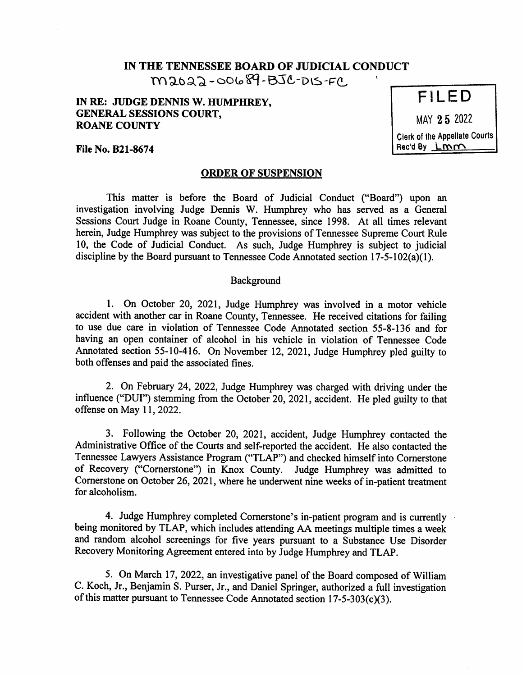# IN THE TENNESSEE BOARD OF JUDICIAL CONDUCT

 $m$ 2022-00689-BJC-DIS-FC,

# IN RE: JUDGE DENNIS W. HUMPHREY, GENERAL SESSIONS COURT, ROANE COUNTY

MAY 25 2022 Clerk of the Appellate Courts

Rec'd By LMM

File No. B21-8674

## ORDER OF SUSPENSION

This matter is before the Board of Judicial Conduct ("Board") upon an investigation involving Judge Dennis W. Humphrey who has served as a General Sessions Court Judge in Roane County, Tennessee, since 1998. At all times relevant herein, Judge Humphrey was subject to the provisions of Tennessee Supreme Court Rule 10, the Code of Judicial Conduct. As such, Judge Humphrey is subject to judicial discipline by the Board pursuant to Tennessee Code Annotated section 17-5-102(a)(1).

#### Background

1. On October 20, 2021, Judge Humphrey was involved in a motor vehicle accident with another car in Roane County, Tennessee. He received citations for failing to use due care in violation of Tennessee Code Annotated section 55-8-136 and for having an open container of alcohol in his vehicle in violation of Tennessee Code Annotated section 55-10-416. On November 12, 2021, Judge Humphrey pled guilty to both offenses and paid the associated fines.

2. On February 24, 2022, Judge Humphrey was charged with driving under the influence ("DUI") stemming from the October 20, 2021, accident. He pled guilty to that offense on May 11, 2022.

3. Following the October 20, 2021, accident, Judge Humphrey contacted the Administrative Office of the Courts and self-reported the accident. He also contacted the Tennessee Lawyers Assistance Program ("TLAP") and checked himself into Cornerstone of Recovery ("Cornerstone") in Knox County. Judge Humphrey was admitted to Cornerstone on October 26, 2021, where he underwent nine weeks of in-patient treatment for alcoholism.

4. Judge Humphrey completed Cornerstone's in-patient program and is currently being monitored by TLAP, which includes attending AA meetings multiple times a week and random alcohol screenings for five years pursuant to a Substance Use Disorder Recovery Monitoring Agreement entered into by Judge Humphrey and TLAP.

5. On March 17, 2022, an investigative panel of the Board composed of William C. Koch, Jr., Benjamin S. Purser, Jr., and Daniel Springer, authorized a full investigation of this matter pursuant to Tennessee Code Annotated section 17-5-303(c)(3).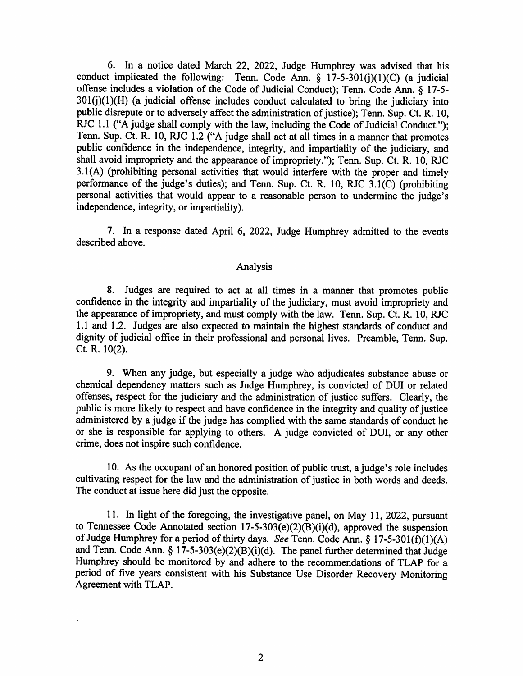6. In a notice dated March 22, 2022, Judge Humphrey was advised that his conduct implicated the following: Tenn. Code Ann.  $\S$  17-5-301(j)(1)(C) (a judicial offense includes a violation of the Code of Judicial Conduct); Tenn. Code Ann. § 17-5-  $301(i)(1)(H)$  (a judicial offense includes conduct calculated to bring the judiciary into public disrepute or to adversely affect the administration of justice); Tenn. Sup. Ct. R. 10, RJC 1.1 ("A judge shall comply with the law, including the Code of Judicial Conduct."); Tenn. Sup. Ct. R. 10, RJC 1.2 ("A judge shall act at all times in a manner that promotes public confidence in the independence, integrity, and impartiality of the judiciary, and shall avoid impropriety and the appearance of impropriety."); Tenn. Sup. Ct. R. 10, RJC 3.1(A) (prohibiting personal activities that would interfere with the proper and timely performance of the judge's duties); and Tenn. Sup. Ct. R. 10, RJC 3.1(C) (prohibiting personal activities that would appear to a reasonable person to undermine the judge's independence, integrity, or impartiality).

7. In a response dated April 6, 2022, Judge Humphrey admitted to the events described above.

### Analysis

8. Judges are required to act at all times in a manner that promotes public confidence in the integrity and impartiality of the judiciary, must avoid impropriety and the appearance of impropriety, and must comply with the law. Tenn. Sup. Ct. R. 10, RJC 1.1 and 1.2. Judges are also expected to maintain the highest standards of conduct and dignity of judicial office in their professional and personal lives. Preamble, Tenn. Sup. Ct. R. 10(2).

9. When any judge, but especially a judge who adjudicates substance abuse or chemical dependency matters such as Judge Humphrey, is convicted of DUI or related offenses, respect for the judiciary and the administration of justice suffers. Clearly, the public is more likely to respect and have confidence in the integrity and quality of justice administered by a judge if the judge has complied with the same standards of conduct he or she is responsible for applying to others. A judge convicted of DUI, or any other crime, does not inspire such confidence.

10. As the occupant of an honored position of public trust, a judge's role includes cultivating respect for the law and the administration of justice in both words and deeds. The conduct at issue here did just the opposite.

11. In light of the foregoing, the investigative panel, on May 11, 2022, pursuant to Tennessee Code Annotated section  $17-5-303(e)(2)(B)(i)(d)$ , approved the suspension of Judge Humphrey for a period of thirty days. See Tenn. Code Ann. § 17-5-301(f)(1)(A) and Tenn. Code Ann.  $\S$  17-5-303(e)(2)(B)(i)(d). The panel further determined that Judge Humphrey should be monitored by and adhere to the recommendations of TLAP for a period of five years consistent with his Substance Use Disorder Recovery Monitoring Agreement with TLAP.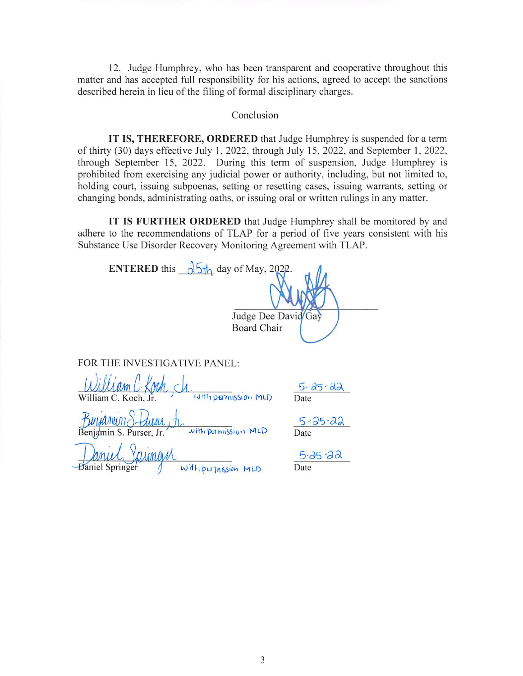12. Judge Humphrey, who has been transparent and cooperative throughout this matter and has accepted full responsibility for his actions, agreed to accept the sanctions described herein in lieu of the filing of formal disciplinary charges.

#### Conclusion

IT IS, THEREFORE, ORDERED that Judge Humphrey is suspended for a term of thirty (30) days effective July 1, 2022, through July 15, 2022, and September 1, 2022, through September 15, 2022. During this term of suspension, Judge Humphrey is prohibited from exercising any judicial power or authority, including, but not limited to, holding court, issuing subpoenas, setting or resetting cases, issuing warrants, setting or changing bonds, administrating oaths, or issuing oral or written rulings in any matter.

IT IS FURTHER ORDERED that Judge Humphrey shall be monitored by and adhere to the recommendations of TLAP for a period of five years consistent with his Substance Use Disorder Recovery Monitoring Agreement with TLAP.

| <b>ENTERED</b> this $\sqrt{5h}$ day of May, 2022.<br><b>Board Chair</b>    | Judge Dee David Gay   |
|----------------------------------------------------------------------------|-----------------------|
| E INVESTIGATIVE PANEL:<br>FOR '                                            |                       |
| with parmission MLD<br>William C. Koch, Jr.                                | $5 - 25 - 22$<br>Date |
| Buyanung<br><i>Avisu</i><br>with permission MLD<br>Benjamin S. Purser, Jr. | $5 - 25 - 22$<br>Date |
| orimain<br><b>Daniel Springer</b><br>With perjassion MLD                   | $5 - 25 - 22$<br>Date |